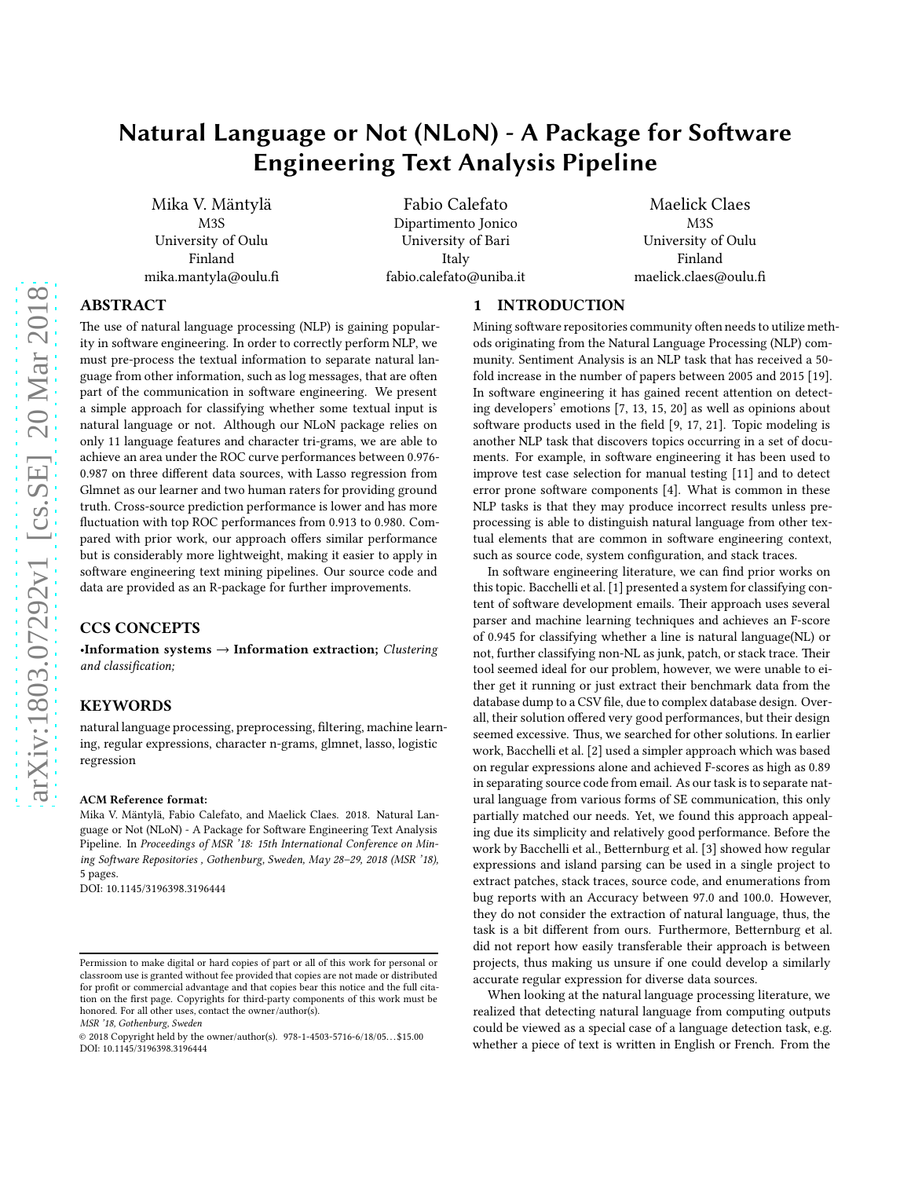# Natural Language or Not (NLoN) - A Package for Software Engineering Text Analysis Pipeline

Mika V. Mäntylä M3S University of Oulu Finland mika.mantyla@oulu.fi

Fabio Calefato Dipartimento Jonico University of Bari Italy fabio.calefato@uniba.it

Maelick Claes M3S University of Oulu Finland maelick.claes@oulu.fi

# ABSTRACT

The use of natural language processing (NLP) is gaining popularity in software engineering. In order to correctly perform NLP, we must pre-process the textual information to separate natural language from other information, such as log messages, that are often part of the communication in software engineering. We present a simple approach for classifying whether some textual input is natural language or not. Although our NLoN package relies on only 11 language features and character tri-grams, we are able to achieve an area under the ROC curve performances between 0.976- 0.987 on three different data sources, with Lasso regression from Glmnet as our learner and two human raters for providing ground truth. Cross-source prediction performance is lower and has more fluctuation with top ROC performances from 0.913 to 0.980. Compared with prior work, our approach offers similar performance but is considerably more lightweight, making it easier to apply in software engineering text mining pipelines. Our source code and data are provided as an R-package for further improvements.

# CCS CONCEPTS

 $\textbf{-}$ **Information systems**  $\rightarrow$  **Information extraction**; Clustering and classification;

# **KEYWORDS**

natural language processing, preprocessing, filtering, machine learning, regular expressions, character n-grams, glmnet, lasso, logistic regression

#### ACM Reference format:

Mika V. Mäntylä, Fabio Calefato, and Maelick Claes. 2018. Natural Language or Not (NLoN) - A Package for Software Engineering Text Analysis Pipeline. In Proceedings of MSR '18: 15th International Conference on Mining Software Repositories , Gothenburg, Sweden, May 28-29, 2018 (MSR '18), [5](#page-4-0) pages.

DOI: 10.1145/3196398.3196444

MSR '18, Gothenburg, Sweden

## 1 INTRODUCTION

Mining software repositories community often needs to utilize methods originating from the Natural Language Processing (NLP) community. Sentiment Analysis is an NLP task that has received a 50 fold increase in the number of papers between 2005 and 2015 [\[19\]](#page-4-1). In software engineering it has gained recent attention on detecting developers' emotions [\[7](#page-4-2), [13](#page-4-3), [15](#page-4-4), [20\]](#page-4-5) as well as opinions about software products used in the field [\[9,](#page-4-6) [17,](#page-4-7) [21](#page-4-8)]. Topic modeling is another NLP task that discovers topics occurring in a set of documents. For example, in software engineering it has been used to improve test case selection for manual testing [\[11\]](#page-4-9) and to detect error prone software components [\[4\]](#page-4-10). What is common in these NLP tasks is that they may produce incorrect results unless preprocessing is able to distinguish natural language from other textual elements that are common in software engineering context, such as source code, system configuration, and stack traces.

In software engineering literature, we can find prior works on this topic. Bacchelli et al. [\[1](#page-4-11)] presented a system for classifying content of software development emails. Their approach uses several parser and machine learning techniques and achieves an F-score of 0.945 for classifying whether a line is natural language(NL) or not, further classifying non-NL as junk, patch, or stack trace. Their tool seemed ideal for our problem, however, we were unable to either get it running or just extract their benchmark data from the database dump to a CSV file, due to complex database design. Overall, their solution offered very good performances, but their design seemed excessive. Thus, we searched for other solutions. In earlier work, Bacchelli et al. [\[2](#page-4-12)] used a simpler approach which was based on regular expressions alone and achieved F-scores as high as 0.89 in separating source code from email. As our task is to separate natural language from various forms of SE communication, this only partially matched our needs. Yet, we found this approach appealing due its simplicity and relatively good performance. Before the work by Bacchelli et al., Betternburg et al. [\[3\]](#page-4-13) showed how regular expressions and island parsing can be used in a single project to extract patches, stack traces, source code, and enumerations from bug reports with an Accuracy between 97.0 and 100.0. However, they do not consider the extraction of natural language, thus, the task is a bit different from ours. Furthermore, Betternburg et al. did not report how easily transferable their approach is between projects, thus making us unsure if one could develop a similarly accurate regular expression for diverse data sources.

When looking at the natural language processing literature, we realized that detecting natural language from computing outputs could be viewed as a special case of a language detection task, e.g. whether a piece of text is written in English or French. From the

Permission to make digital or hard copies of part or all of this work for personal or classroom use is granted without fee provided that copies are not made or distributed for profit or commercial advantage and that copies bear this notice and the full citation on the first page. Copyrights for third-party components of this work must be honored. For all other uses, contact the owner/author(s).

<sup>© 2018</sup> Copyright held by the owner/author(s). 978-1-4503-5716-6/18/05. . . \$15.00 DOI: 10.1145/3196398.3196444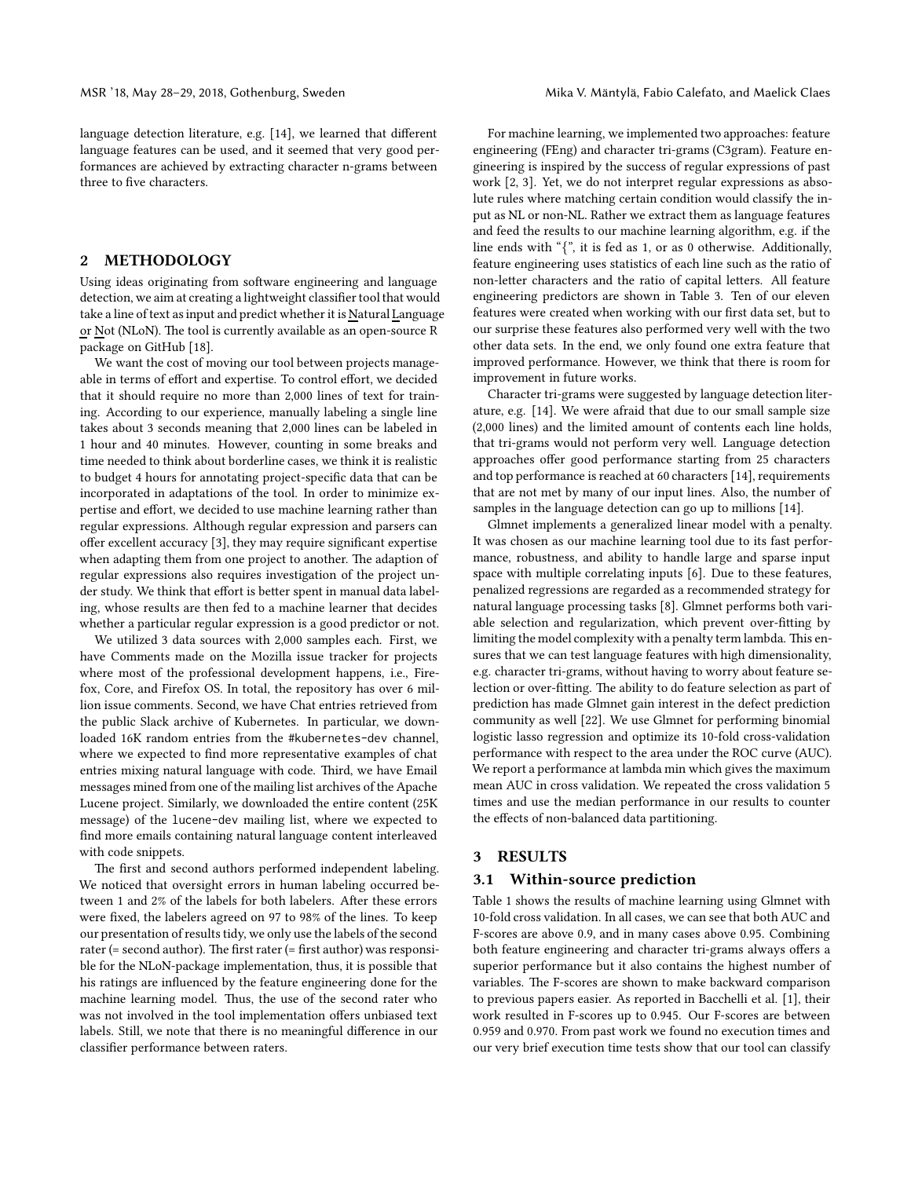language detection literature, e.g. [\[14\]](#page-4-14), we learned that different language features can be used, and it seemed that very good performances are achieved by extracting character n-grams between three to five characters.

#### 2 METHODOLOGY

Using ideas originating from software engineering and language detection, we aim at creating a lightweight classifier tool that would take a line of text as input and predict whether it is Natural Language or Not (NLoN). The tool is currently available as an open-source R package on GitHub [\[18](#page-4-15)].

We want the cost of moving our tool between projects manageable in terms of effort and expertise. To control effort, we decided that it should require no more than 2,000 lines of text for training. According to our experience, manually labeling a single line takes about 3 seconds meaning that 2,000 lines can be labeled in 1 hour and 40 minutes. However, counting in some breaks and time needed to think about borderline cases, we think it is realistic to budget 4 hours for annotating project-specific data that can be incorporated in adaptations of the tool. In order to minimize expertise and effort, we decided to use machine learning rather than regular expressions. Although regular expression and parsers can offer excellent accuracy [\[3](#page-4-13)], they may require significant expertise when adapting them from one project to another. The adaption of regular expressions also requires investigation of the project under study. We think that effort is better spent in manual data labeling, whose results are then fed to a machine learner that decides whether a particular regular expression is a good predictor or not.

We utilized 3 data sources with 2,000 samples each. First, we have Comments made on the Mozilla issue tracker for projects where most of the professional development happens, i.e., Firefox, Core, and Firefox OS. In total, the repository has over 6 million issue comments. Second, we have Chat entries retrieved from the public Slack archive of Kubernetes. In particular, we downloaded 16K random entries from the #kubernetes-dev channel, where we expected to find more representative examples of chat entries mixing natural language with code. Third, we have Email messages mined from one of the mailing list archives of the Apache Lucene project. Similarly, we downloaded the entire content (25K message) of the lucene-dev mailing list, where we expected to find more emails containing natural language content interleaved with code snippets.

The first and second authors performed independent labeling. We noticed that oversight errors in human labeling occurred between 1 and 2% of the labels for both labelers. After these errors were fixed, the labelers agreed on 97 to 98% of the lines. To keep our presentation of results tidy, we only use the labels of the second rater (= second author). The first rater (= first author) was responsible for the NLoN-package implementation, thus, it is possible that his ratings are influenced by the feature engineering done for the machine learning model. Thus, the use of the second rater who was not involved in the tool implementation offers unbiased text labels. Still, we note that there is no meaningful difference in our classifier performance between raters.

For machine learning, we implemented two approaches: feature engineering (FEng) and character tri-grams (C3gram). Feature engineering is inspired by the success of regular expressions of past work [\[2,](#page-4-12) [3\]](#page-4-13). Yet, we do not interpret regular expressions as absolute rules where matching certain condition would classify the input as NL or non-NL. Rather we extract them as language features and feed the results to our machine learning algorithm, e.g. if the line ends with "{", it is fed as 1, or as 0 otherwise. Additionally, feature engineering uses statistics of each line such as the ratio of non-letter characters and the ratio of capital letters. All feature engineering predictors are shown in Table [3.](#page-2-0) Ten of our eleven features were created when working with our first data set, but to our surprise these features also performed very well with the two other data sets. In the end, we only found one extra feature that improved performance. However, we think that there is room for improvement in future works.

Character tri-grams were suggested by language detection literature, e.g. [\[14\]](#page-4-14). We were afraid that due to our small sample size (2,000 lines) and the limited amount of contents each line holds, that tri-grams would not perform very well. Language detection approaches offer good performance starting from 25 characters and top performance is reached at 60 characters [\[14\]](#page-4-14), requirements that are not met by many of our input lines. Also, the number of samples in the language detection can go up to millions [\[14](#page-4-14)].

Glmnet implements a generalized linear model with a penalty. It was chosen as our machine learning tool due to its fast performance, robustness, and ability to handle large and sparse input space with multiple correlating inputs [\[6](#page-4-16)]. Due to these features, penalized regressions are regarded as a recommended strategy for natural language processing tasks [\[8\]](#page-4-17). Glmnet performs both variable selection and regularization, which prevent over-fitting by limiting the model complexity with a penalty term lambda. This ensures that we can test language features with high dimensionality, e.g. character tri-grams, without having to worry about feature selection or over-fitting. The ability to do feature selection as part of prediction has made Glmnet gain interest in the defect prediction community as well [\[22\]](#page-4-18). We use Glmnet for performing binomial logistic lasso regression and optimize its 10-fold cross-validation performance with respect to the area under the ROC curve (AUC). We report a performance at lambda min which gives the maximum mean AUC in cross validation. We repeated the cross validation 5 times and use the median performance in our results to counter the effects of non-balanced data partitioning.

## 3 RESULTS

#### 3.1 Within-source prediction

Table [1](#page-2-1) shows the results of machine learning using Glmnet with 10-fold cross validation. In all cases, we can see that both AUC and F-scores are above 0.9, and in many cases above 0.95. Combining both feature engineering and character tri-grams always offers a superior performance but it also contains the highest number of variables. The F-scores are shown to make backward comparison to previous papers easier. As reported in Bacchelli et al. [\[1](#page-4-11)], their work resulted in F-scores up to 0.945. Our F-scores are between 0.959 and 0.970. From past work we found no execution times and our very brief execution time tests show that our tool can classify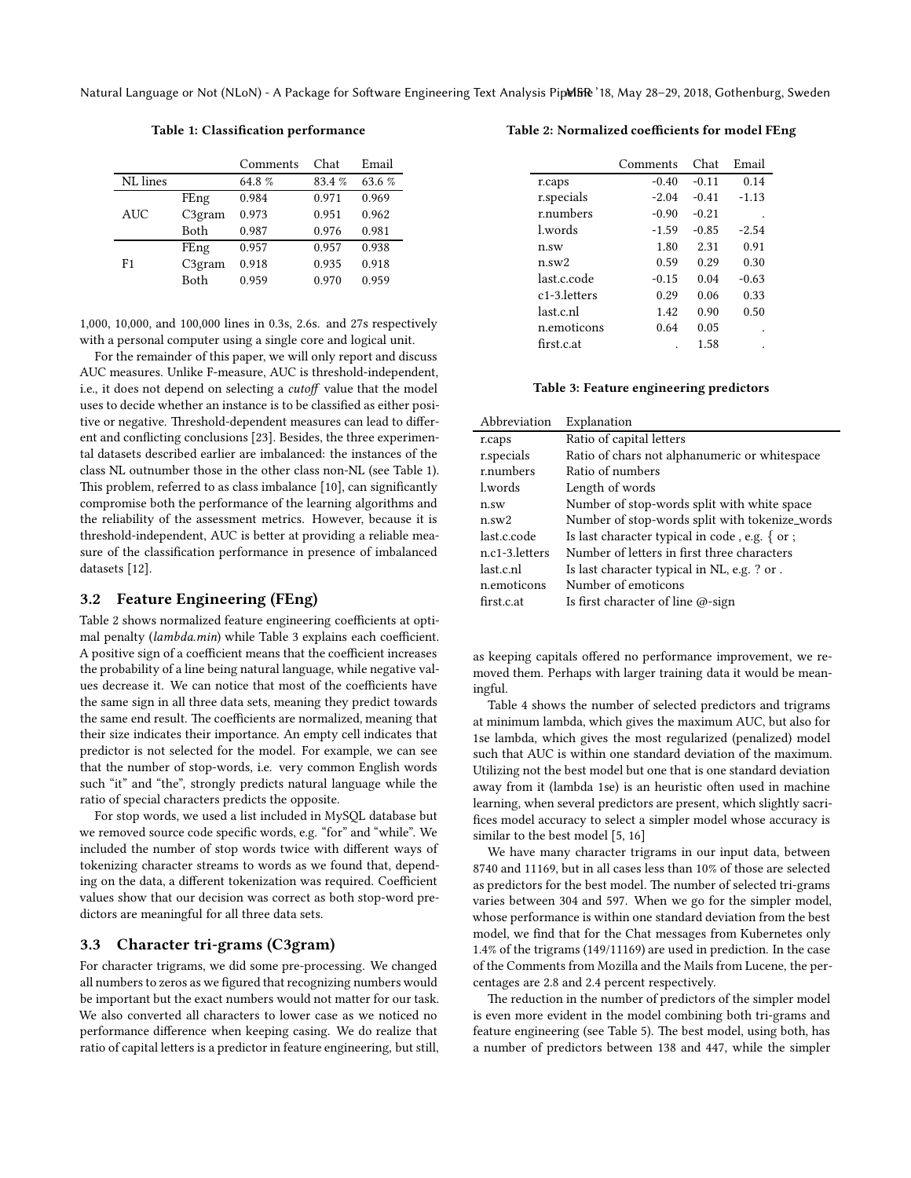<span id="page-2-1"></span>Natural Language or Not (NLoN) - A Package for Software Engineering Text Analysis PipelBR '18, May 28-29, 2018, Gothenburg, Sweden

Table 1: Classification performance

|            |                    | Comments | Chat  | Email  |
|------------|--------------------|----------|-------|--------|
| NL lines   |                    | 64.8%    | 83.4% | 63.6 % |
|            | FEng               | 0.984    | 0.971 | 0.969  |
| <b>AUC</b> | C3 <sub>gram</sub> | 0.973    | 0.951 | 0.962  |
|            | Both               | 0.987    | 0.976 | 0.981  |
|            | FEng               | 0.957    | 0.957 | 0.938  |
| F1         | C3 <sub>gram</sub> | 0.918    | 0.935 | 0.918  |
|            | Both               | 0.959    | 0.970 | 0.959  |

1,000, 10,000, and 100,000 lines in 0.3s, 2.6s. and 27s respectively with a personal computer using a single core and logical unit.

For the remainder of this paper, we will only report and discuss AUC measures. Unlike F-measure, AUC is threshold-independent, i.e., it does not depend on selecting a cutoff value that the model uses to decide whether an instance is to be classified as either positive or negative. Threshold-dependent measures can lead to different and conflicting conclusions [\[23](#page-4-19)]. Besides, the three experimental datasets described earlier are imbalanced: the instances of the class NL outnumber those in the other class non-NL (see Table [1\)](#page-2-1). This problem, referred to as class imbalance [\[10\]](#page-4-20), can significantly compromise both the performance of the learning algorithms and the reliability of the assessment metrics. However, because it is threshold-independent, AUC is better at providing a reliable measure of the classification performance in presence of imbalanced datasets [\[12\]](#page-4-21).

# 3.2 Feature Engineering (FEng)

Table [2](#page-2-2) shows normalized feature engineering coefficients at optimal penalty (lambda.min) while Table [3](#page-2-0) explains each coefficient. A positive sign of a coefficient means that the coefficient increases the probability of a line being natural language, while negative values decrease it. We can notice that most of the coefficients have the same sign in all three data sets, meaning they predict towards the same end result. The coefficients are normalized, meaning that their size indicates their importance. An empty cell indicates that predictor is not selected for the model. For example, we can see that the number of stop-words, i.e. very common English words such "it" and "the", strongly predicts natural language while the ratio of special characters predicts the opposite.

For stop words, we used a list included in MySQL database but we removed source code specific words, e.g. "for" and "while". We included the number of stop words twice with different ways of tokenizing character streams to words as we found that, depending on the data, a different tokenization was required. Coefficient values show that our decision was correct as both stop-word predictors are meaningful for all three data sets.

#### 3.3 Character tri-grams (C3gram)

For character trigrams, we did some pre-processing. We changed all numbers to zeros as we figured that recognizing numbers would be important but the exact numbers would not matter for our task. We also converted all characters to lower case as we noticed no performance difference when keeping casing. We do realize that ratio of capital letters is a predictor in feature engineering, but still,

## <span id="page-2-2"></span>Table 2: Normalized coefficients for model FEng

|                            | Comments | Chat    | Email   |
|----------------------------|----------|---------|---------|
| r.caps                     | $-0.40$  | $-0.11$ | 0.14    |
| r.specials                 | $-2.04$  | $-0.41$ | $-1.13$ |
| r.numbers                  | $-0.90$  | $-0.21$ |         |
| l.words                    | $-1.59$  | $-0.85$ | $-2.54$ |
| $n$ .sw                    | 1.80     | 2.31    | 0.91    |
| $n$ .sw $2$                | 0.59     | 0.29    | 0.30    |
| last.c.code                | $-0.15$  | 0.04    | $-0.63$ |
| c <sub>1</sub> -3. letters | 0.29     | 0.06    | 0.33    |
| last.c.nl                  | 1.42     | 0.90    | 0.50    |
| n.emoticons                | 0.64     | 0.05    |         |
| first.c.at                 |          | 1.58    |         |

Table 3: Feature engineering predictors

<span id="page-2-0"></span>

| Abbreviation   | Explanation                                       |
|----------------|---------------------------------------------------|
| r.caps         | Ratio of capital letters                          |
| r.specials     | Ratio of chars not alphanumeric or whitespace     |
| r.numbers      | Ratio of numbers                                  |
| l.words        | Length of words                                   |
| $n$ .sw        | Number of stop-words split with white space       |
| $n$ .sw $2$    | Number of stop-words split with tokenize_words    |
| last.c.code    | Is last character typical in code, e.g. $\{$ or ; |
| n.c1-3.letters | Number of letters in first three characters       |
| last.c.nl      | Is last character typical in NL, e.g. ? or .      |
| n.emoticons    | Number of emoticons                               |
| first.c.at     | Is first character of line @-sign                 |

as keeping capitals offered no performance improvement, we removed them. Perhaps with larger training data it would be meaningful.

Table [4](#page-3-0) shows the number of selected predictors and trigrams at minimum lambda, which gives the maximum AUC, but also for 1se lambda, which gives the most regularized (penalized) model such that AUC is within one standard deviation of the maximum. Utilizing not the best model but one that is one standard deviation away from it (lambda 1se) is an heuristic often used in machine learning, when several predictors are present, which slightly sacrifices model accuracy to select a simpler model whose accuracy is similar to the best model [\[5](#page-4-22), [16\]](#page-4-23)

We have many character trigrams in our input data, between 8740 and 11169, but in all cases less than 10% of those are selected as predictors for the best model. The number of selected tri-grams varies between 304 and 597. When we go for the simpler model, whose performance is within one standard deviation from the best model, we find that for the Chat messages from Kubernetes only 1.4% of the trigrams (149/11169) are used in prediction. In the case of the Comments from Mozilla and the Mails from Lucene, the percentages are 2.8 and 2.4 percent respectively.

The reduction in the number of predictors of the simpler model is even more evident in the model combining both tri-grams and feature engineering (see Table [5\)](#page-3-1). The best model, using both, has a number of predictors between 138 and 447, while the simpler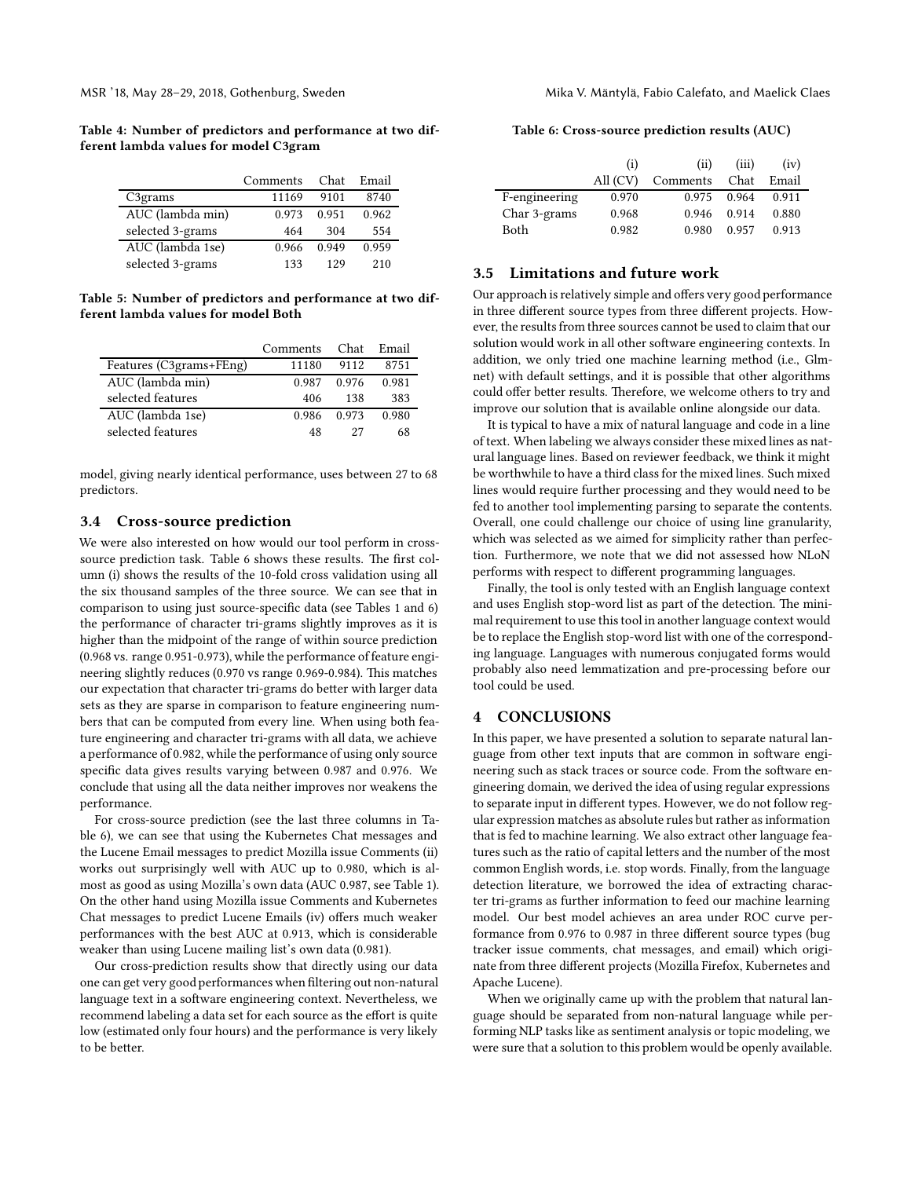<span id="page-3-0"></span>Table 4: Number of predictors and performance at two different lambda values for model C3gram

|                      | Comments | Chat  | Email |
|----------------------|----------|-------|-------|
| C <sub>3</sub> grams | 11169    | 9101  | 8740  |
| AUC (lambda min)     | 0.973    | 0.951 | 0.962 |
| selected 3-grams     | 464      | 304   | 554   |
| AUC (lambda 1se)     | 0.966    | 0.949 | 0.959 |
| selected 3-grams     | 133      | 129   | 210   |

<span id="page-3-1"></span>Table 5: Number of predictors and performance at two different lambda values for model Both

|                         | Comments | Chat  | Email |
|-------------------------|----------|-------|-------|
| Features (C3grams+FEng) | 11180    | 9112  | 8751  |
| AUC (lambda min)        | 0.987    | 0.976 | 0.981 |
| selected features       | 406      | 138   | 383   |
| AUC (lambda 1se)        | 0.986    | 0.973 | 0.980 |
| selected features       | 48       | 27    | 68    |

model, giving nearly identical performance, uses between 27 to 68 predictors.

#### 3.4 Cross-source prediction

We were also interested on how would our tool perform in cross-source prediction task. Table [6](#page-3-2) shows these results. The first column (i) shows the results of the 10-fold cross validation using all the six thousand samples of the three source. We can see that in comparison to using just source-specific data (see Tables [1](#page-2-1) and [6\)](#page-3-2) the performance of character tri-grams slightly improves as it is higher than the midpoint of the range of within source prediction (0.968 vs. range 0.951-0.973), while the performance of feature engineering slightly reduces (0.970 vs range 0.969-0.984). This matches our expectation that character tri-grams do better with larger data sets as they are sparse in comparison to feature engineering numbers that can be computed from every line. When using both feature engineering and character tri-grams with all data, we achieve a performance of 0.982, while the performance of using only source specific data gives results varying between 0.987 and 0.976. We conclude that using all the data neither improves nor weakens the performance.

For cross-source prediction (see the last three columns in Table [6\)](#page-3-2), we can see that using the Kubernetes Chat messages and the Lucene Email messages to predict Mozilla issue Comments (ii) works out surprisingly well with AUC up to 0.980, which is almost as good as using Mozilla's own data (AUC 0.987, see Table [1\)](#page-2-1). On the other hand using Mozilla issue Comments and Kubernetes Chat messages to predict Lucene Emails (iv) offers much weaker performances with the best AUC at 0.913, which is considerable weaker than using Lucene mailing list's own data (0.981).

Our cross-prediction results show that directly using our data one can get very good performances when filtering out non-natural language text in a software engineering context. Nevertheless, we recommend labeling a data set for each source as the effort is quite low (estimated only four hours) and the performance is very likely to be better.

<span id="page-3-2"></span>

| Table 6: Cross-source prediction results (AUC) |  |  |  |
|------------------------------------------------|--|--|--|
|------------------------------------------------|--|--|--|

|               | (i)      | (ii)          | (iii) | (iv)  |
|---------------|----------|---------------|-------|-------|
|               | All (CV) | Comments Chat |       | Email |
| F-engineering | 0.970    | 0.975         | 0.964 | 0.911 |
| Char 3-grams  | 0.968    | 0.946         | 0.914 | 0.880 |
| Both          | 0.982    | 0.980         | 0.957 | 0.913 |

# 3.5 Limitations and future work

Our approach is relatively simple and offers very good performance in three different source types from three different projects. However, the results from three sources cannot be used to claim that our solution would work in all other software engineering contexts. In addition, we only tried one machine learning method (i.e., Glmnet) with default settings, and it is possible that other algorithms could offer better results. Therefore, we welcome others to try and improve our solution that is available online alongside our data.

It is typical to have a mix of natural language and code in a line of text. When labeling we always consider these mixed lines as natural language lines. Based on reviewer feedback, we think it might be worthwhile to have a third class for the mixed lines. Such mixed lines would require further processing and they would need to be fed to another tool implementing parsing to separate the contents. Overall, one could challenge our choice of using line granularity, which was selected as we aimed for simplicity rather than perfection. Furthermore, we note that we did not assessed how NLoN performs with respect to different programming languages.

Finally, the tool is only tested with an English language context and uses English stop-word list as part of the detection. The minimal requirement to use this tool in another language context would be to replace the English stop-word list with one of the corresponding language. Languages with numerous conjugated forms would probably also need lemmatization and pre-processing before our tool could be used.

## 4 CONCLUSIONS

In this paper, we have presented a solution to separate natural language from other text inputs that are common in software engineering such as stack traces or source code. From the software engineering domain, we derived the idea of using regular expressions to separate input in different types. However, we do not follow regular expression matches as absolute rules but rather as information that is fed to machine learning. We also extract other language features such as the ratio of capital letters and the number of the most common English words, i.e. stop words. Finally, from the language detection literature, we borrowed the idea of extracting character tri-grams as further information to feed our machine learning model. Our best model achieves an area under ROC curve performance from 0.976 to 0.987 in three different source types (bug tracker issue comments, chat messages, and email) which originate from three different projects (Mozilla Firefox, Kubernetes and Apache Lucene).

When we originally came up with the problem that natural language should be separated from non-natural language while performing NLP tasks like as sentiment analysis or topic modeling, we were sure that a solution to this problem would be openly available.